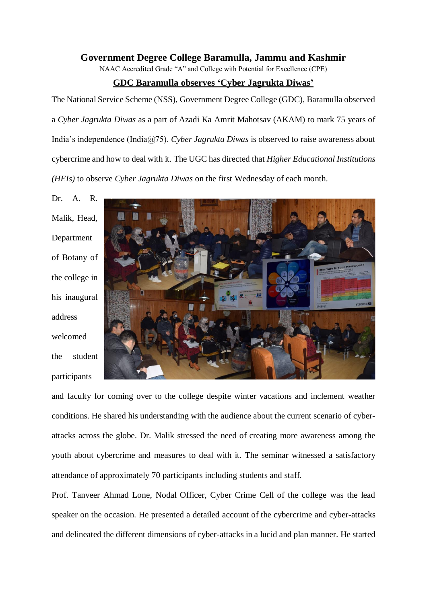## **Government Degree College Baramulla, Jammu and Kashmir**

NAAC Accredited Grade "A" and College with Potential for Excellence (CPE)

## **GDC Baramulla observes 'Cyber Jagrukta Diwas'**

The National Service Scheme (NSS), Government Degree College (GDC), Baramulla observed a *Cyber Jagrukta Diwas* as a part of Azadi Ka Amrit Mahotsav (AKAM) to mark 75 years of India's independence (India@75). *Cyber Jagrukta Diwas* is observed to raise awareness about cybercrime and how to deal with it. The UGC has directed that *Higher Educational Institutions (HEIs)* to observe *Cyber Jagrukta Diwas* on the first Wednesday of each month.

Dr. A. R. Malik, Head, Department of Botany of the college in his inaugural address welcomed the student participants



and faculty for coming over to the college despite winter vacations and inclement weather conditions. He shared his understanding with the audience about the current scenario of cyberattacks across the globe. Dr. Malik stressed the need of creating more awareness among the youth about cybercrime and measures to deal with it. The seminar witnessed a satisfactory attendance of approximately 70 participants including students and staff.

Prof. Tanveer Ahmad Lone, Nodal Officer, Cyber Crime Cell of the college was the lead speaker on the occasion. He presented a detailed account of the cybercrime and cyber-attacks and delineated the different dimensions of cyber-attacks in a lucid and plan manner. He started